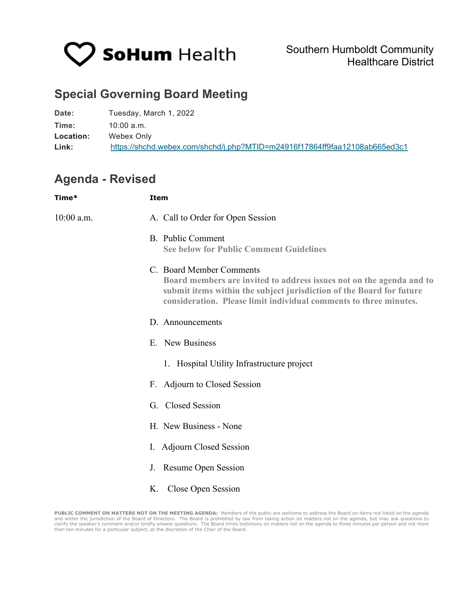

## **Special Governing Board Meeting**

| Date:     | Tuesday, March 1, 2022                                                     |
|-----------|----------------------------------------------------------------------------|
| Time:     | $10:00$ a.m.                                                               |
| Location: | Webex Only                                                                 |
| Link:     | https://shchd.webex.com/shchd/j.php?MTID=m24916f17864ff9faa12108ab665ed3c1 |

## **Agenda - Revised**

| Time*      | <b>Item</b>                                                                                                                                                                                                                                   |
|------------|-----------------------------------------------------------------------------------------------------------------------------------------------------------------------------------------------------------------------------------------------|
| 10:00 a.m. | A. Call to Order for Open Session                                                                                                                                                                                                             |
|            | <b>B.</b> Public Comment<br><b>See below for Public Comment Guidelines</b>                                                                                                                                                                    |
|            | C. Board Member Comments<br>Board members are invited to address issues not on the agenda and to<br>submit items within the subject jurisdiction of the Board for future<br>consideration. Please limit individual comments to three minutes. |
|            | D. Announcements                                                                                                                                                                                                                              |
|            | E. New Business                                                                                                                                                                                                                               |
|            | 1. Hospital Utility Infrastructure project                                                                                                                                                                                                    |
|            | F. Adjourn to Closed Session                                                                                                                                                                                                                  |
|            | G. Closed Session                                                                                                                                                                                                                             |
|            | H. New Business - None                                                                                                                                                                                                                        |
|            | I. Adjourn Closed Session                                                                                                                                                                                                                     |
|            | J. Resume Open Session                                                                                                                                                                                                                        |
|            | K. Close Open Session                                                                                                                                                                                                                         |

**PUBLIC COMMENT ON MATTERS NOT ON THE MEETING AGENDA:** Members of the public are welcome to address the Board on items not listed on the agenda<br>and within the jurisdiction of the Board of Directors. The Board is prohibited than ten minutes for a particular subject, at the discretion of the Chair of the Board.